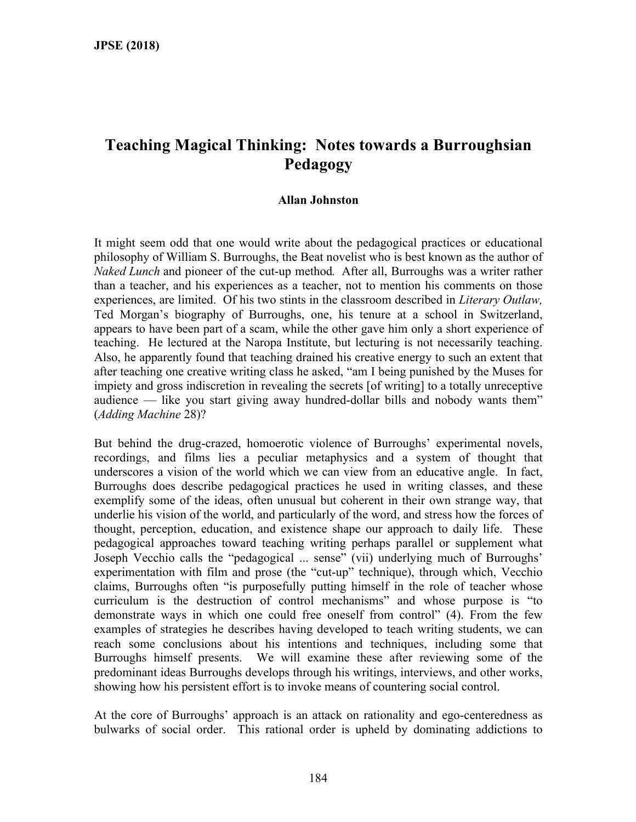# **Teaching Magical Thinking: Notes towards a Burroughsian Pedagogy**

#### **Allan Johnston**

It might seem odd that one would write about the pedagogical practices or educational philosophy of William S. Burroughs, the Beat novelist who is best known as the author of *Naked Lunch* and pioneer of the cut-up method*.* After all, Burroughs was a writer rather than a teacher, and his experiences as a teacher, not to mention his comments on those experiences, are limited. Of his two stints in the classroom described in *Literary Outlaw,* Ted Morgan's biography of Burroughs, one, his tenure at a school in Switzerland, appears to have been part of a scam, while the other gave him only a short experience of teaching. He lectured at the Naropa Institute, but lecturing is not necessarily teaching. Also, he apparently found that teaching drained his creative energy to such an extent that after teaching one creative writing class he asked, "am I being punished by the Muses for impiety and gross indiscretion in revealing the secrets [of writing] to a totally unreceptive audience — like you start giving away hundred-dollar bills and nobody wants them" (*Adding Machine* 28)?

But behind the drug-crazed, homoerotic violence of Burroughs' experimental novels, recordings, and films lies a peculiar metaphysics and a system of thought that underscores a vision of the world which we can view from an educative angle. In fact, Burroughs does describe pedagogical practices he used in writing classes, and these exemplify some of the ideas, often unusual but coherent in their own strange way, that underlie his vision of the world, and particularly of the word, and stress how the forces of thought, perception, education, and existence shape our approach to daily life. These pedagogical approaches toward teaching writing perhaps parallel or supplement what Joseph Vecchio calls the "pedagogical ... sense" (vii) underlying much of Burroughs' experimentation with film and prose (the "cut-up" technique), through which, Vecchio claims, Burroughs often "is purposefully putting himself in the role of teacher whose curriculum is the destruction of control mechanisms" and whose purpose is "to demonstrate ways in which one could free oneself from control" (4). From the few examples of strategies he describes having developed to teach writing students, we can reach some conclusions about his intentions and techniques, including some that Burroughs himself presents. We will examine these after reviewing some of the predominant ideas Burroughs develops through his writings, interviews, and other works, showing how his persistent effort is to invoke means of countering social control.

At the core of Burroughs' approach is an attack on rationality and ego-centeredness as bulwarks of social order. This rational order is upheld by dominating addictions to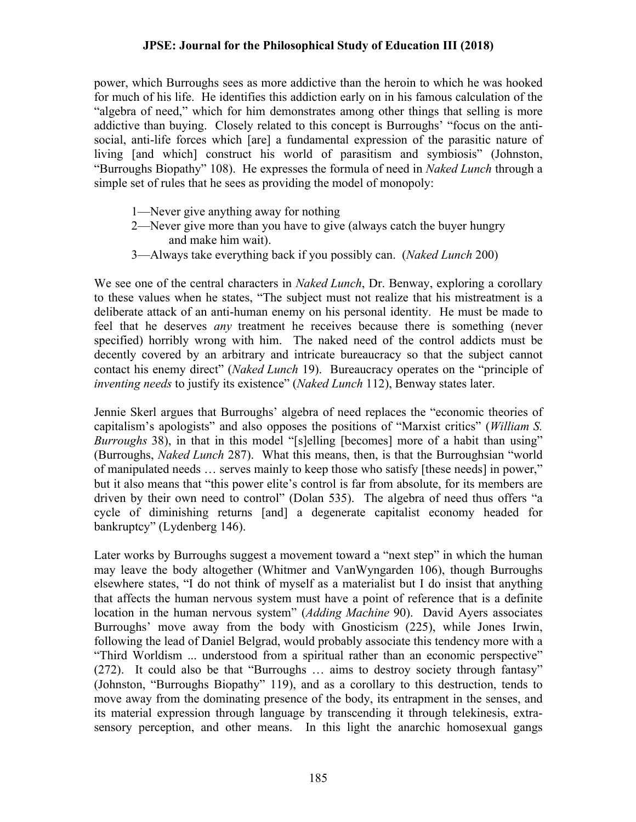power, which Burroughs sees as more addictive than the heroin to which he was hooked for much of his life. He identifies this addiction early on in his famous calculation of the "algebra of need," which for him demonstrates among other things that selling is more addictive than buying. Closely related to this concept is Burroughs' "focus on the antisocial, anti-life forces which [are] a fundamental expression of the parasitic nature of living [and which] construct his world of parasitism and symbiosis" (Johnston, "Burroughs Biopathy" 108). He expresses the formula of need in *Naked Lunch* through a simple set of rules that he sees as providing the model of monopoly:

- 1—Never give anything away for nothing
- 2—Never give more than you have to give (always catch the buyer hungry and make him wait).
- 3—Always take everything back if you possibly can. (*Naked Lunch* 200)

We see one of the central characters in *Naked Lunch*, Dr. Benway, exploring a corollary to these values when he states, "The subject must not realize that his mistreatment is a deliberate attack of an anti-human enemy on his personal identity. He must be made to feel that he deserves *any* treatment he receives because there is something (never specified) horribly wrong with him. The naked need of the control addicts must be decently covered by an arbitrary and intricate bureaucracy so that the subject cannot contact his enemy direct" (*Naked Lunch* 19). Bureaucracy operates on the "principle of *inventing needs* to justify its existence" (*Naked Lunch* 112), Benway states later.

Jennie Skerl argues that Burroughs' algebra of need replaces the "economic theories of capitalism's apologists" and also opposes the positions of "Marxist critics" (*William S. Burroughs* 38), in that in this model "[s]elling [becomes] more of a habit than using" (Burroughs, *Naked Lunch* 287). What this means, then, is that the Burroughsian "world of manipulated needs … serves mainly to keep those who satisfy [these needs] in power," but it also means that "this power elite's control is far from absolute, for its members are driven by their own need to control" (Dolan 535). The algebra of need thus offers "a cycle of diminishing returns [and] a degenerate capitalist economy headed for bankruptcy" (Lydenberg 146).

Later works by Burroughs suggest a movement toward a "next step" in which the human may leave the body altogether (Whitmer and VanWyngarden 106), though Burroughs elsewhere states, "I do not think of myself as a materialist but I do insist that anything that affects the human nervous system must have a point of reference that is a definite location in the human nervous system" (*Adding Machine* 90). David Ayers associates Burroughs' move away from the body with Gnosticism (225), while Jones Irwin, following the lead of Daniel Belgrad, would probably associate this tendency more with a "Third Worldism ... understood from a spiritual rather than an economic perspective" (272). It could also be that "Burroughs … aims to destroy society through fantasy" (Johnston, "Burroughs Biopathy" 119), and as a corollary to this destruction, tends to move away from the dominating presence of the body, its entrapment in the senses, and its material expression through language by transcending it through telekinesis, extrasensory perception, and other means. In this light the anarchic homosexual gangs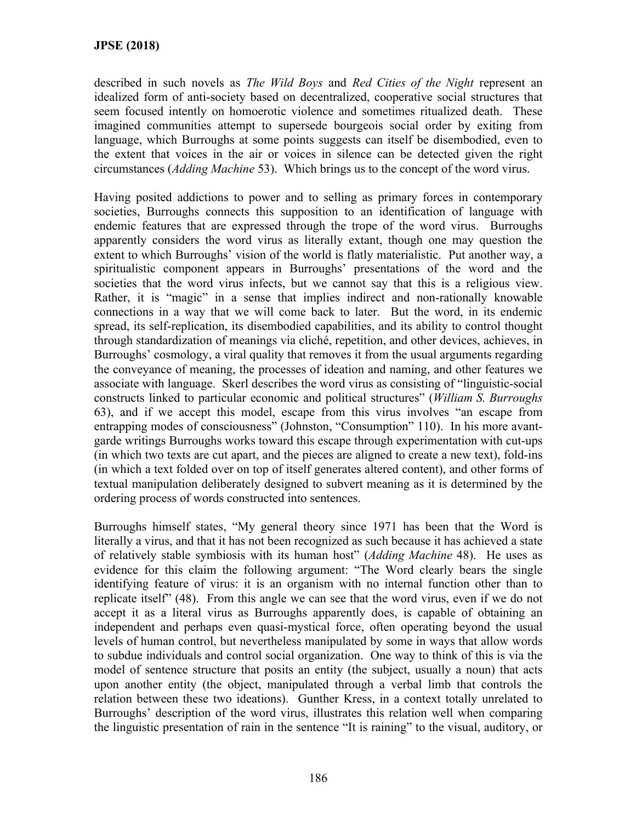described in such novels as *The Wild Boys* and *Red Cities of the Night* represent an idealized form of anti-society based on decentralized, cooperative social structures that seem focused intently on homoerotic violence and sometimes ritualized death. These imagined communities attempt to supersede bourgeois social order by exiting from language, which Burroughs at some points suggests can itself be disembodied, even to the extent that voices in the air or voices in silence can be detected given the right circumstances (*Adding Machine* 53). Which brings us to the concept of the word virus.

Having posited addictions to power and to selling as primary forces in contemporary societies, Burroughs connects this supposition to an identification of language with endemic features that are expressed through the trope of the word virus. Burroughs apparently considers the word virus as literally extant, though one may question the extent to which Burroughs' vision of the world is flatly materialistic. Put another way, a spiritualistic component appears in Burroughs' presentations of the word and the societies that the word virus infects, but we cannot say that this is a religious view. Rather, it is "magic" in a sense that implies indirect and non-rationally knowable connections in a way that we will come back to later. But the word, in its endemic spread, its self-replication, its disembodied capabilities, and its ability to control thought through standardization of meanings via cliché, repetition, and other devices, achieves, in Burroughs' cosmology, a viral quality that removes it from the usual arguments regarding the conveyance of meaning, the processes of ideation and naming, and other features we associate with language. Skerl describes the word virus as consisting of "linguistic-social constructs linked to particular economic and political structures" (*William S. Burroughs*  63), and if we accept this model, escape from this virus involves "an escape from entrapping modes of consciousness" (Johnston, "Consumption" 110). In his more avantgarde writings Burroughs works toward this escape through experimentation with cut-ups (in which two texts are cut apart, and the pieces are aligned to create a new text), fold-ins (in which a text folded over on top of itself generates altered content), and other forms of textual manipulation deliberately designed to subvert meaning as it is determined by the ordering process of words constructed into sentences.

Burroughs himself states, "My general theory since 1971 has been that the Word is literally a virus, and that it has not been recognized as such because it has achieved a state of relatively stable symbiosis with its human host" (*Adding Machine* 48). He uses as evidence for this claim the following argument: "The Word clearly bears the single identifying feature of virus: it is an organism with no internal function other than to replicate itself" (48). From this angle we can see that the word virus, even if we do not accept it as a literal virus as Burroughs apparently does, is capable of obtaining an independent and perhaps even quasi-mystical force, often operating beyond the usual levels of human control, but nevertheless manipulated by some in ways that allow words to subdue individuals and control social organization. One way to think of this is via the model of sentence structure that posits an entity (the subject, usually a noun) that acts upon another entity (the object, manipulated through a verbal limb that controls the relation between these two ideations). Gunther Kress, in a context totally unrelated to Burroughs' description of the word virus, illustrates this relation well when comparing the linguistic presentation of rain in the sentence "It is raining" to the visual, auditory, or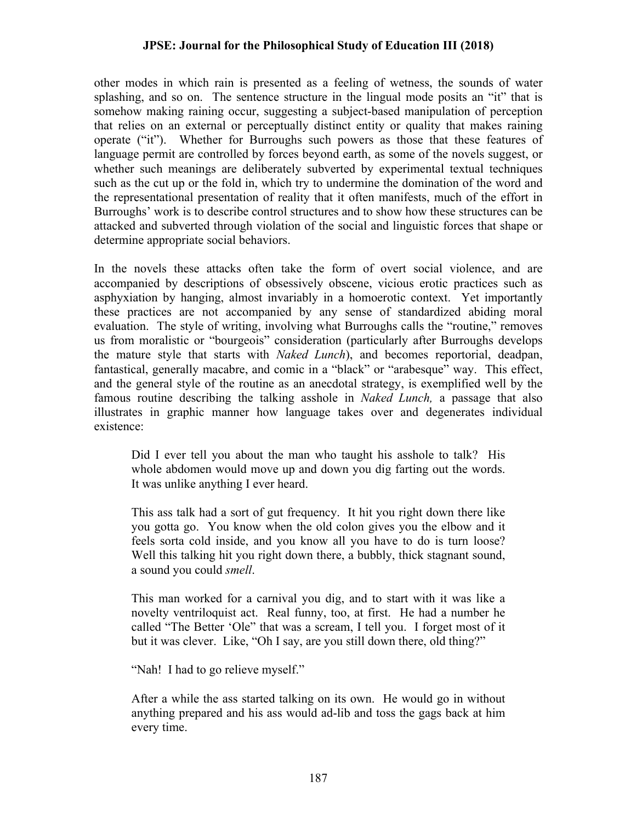other modes in which rain is presented as a feeling of wetness, the sounds of water splashing, and so on. The sentence structure in the lingual mode posits an "it" that is somehow making raining occur, suggesting a subject-based manipulation of perception that relies on an external or perceptually distinct entity or quality that makes raining operate ("it"). Whether for Burroughs such powers as those that these features of language permit are controlled by forces beyond earth, as some of the novels suggest, or whether such meanings are deliberately subverted by experimental textual techniques such as the cut up or the fold in, which try to undermine the domination of the word and the representational presentation of reality that it often manifests, much of the effort in Burroughs' work is to describe control structures and to show how these structures can be attacked and subverted through violation of the social and linguistic forces that shape or determine appropriate social behaviors.

In the novels these attacks often take the form of overt social violence, and are accompanied by descriptions of obsessively obscene, vicious erotic practices such as asphyxiation by hanging, almost invariably in a homoerotic context. Yet importantly these practices are not accompanied by any sense of standardized abiding moral evaluation. The style of writing, involving what Burroughs calls the "routine," removes us from moralistic or "bourgeois" consideration (particularly after Burroughs develops the mature style that starts with *Naked Lunch*), and becomes reportorial, deadpan, fantastical, generally macabre, and comic in a "black" or "arabesque" way. This effect, and the general style of the routine as an anecdotal strategy, is exemplified well by the famous routine describing the talking asshole in *Naked Lunch,* a passage that also illustrates in graphic manner how language takes over and degenerates individual existence:

Did I ever tell you about the man who taught his asshole to talk? His whole abdomen would move up and down you dig farting out the words. It was unlike anything I ever heard.

This ass talk had a sort of gut frequency. It hit you right down there like you gotta go. You know when the old colon gives you the elbow and it feels sorta cold inside, and you know all you have to do is turn loose? Well this talking hit you right down there, a bubbly, thick stagnant sound, a sound you could *smell*.

This man worked for a carnival you dig, and to start with it was like a novelty ventriloquist act. Real funny, too, at first. He had a number he called "The Better 'Ole" that was a scream, I tell you. I forget most of it but it was clever. Like, "Oh I say, are you still down there, old thing?"

"Nah! I had to go relieve myself."

After a while the ass started talking on its own. He would go in without anything prepared and his ass would ad-lib and toss the gags back at him every time.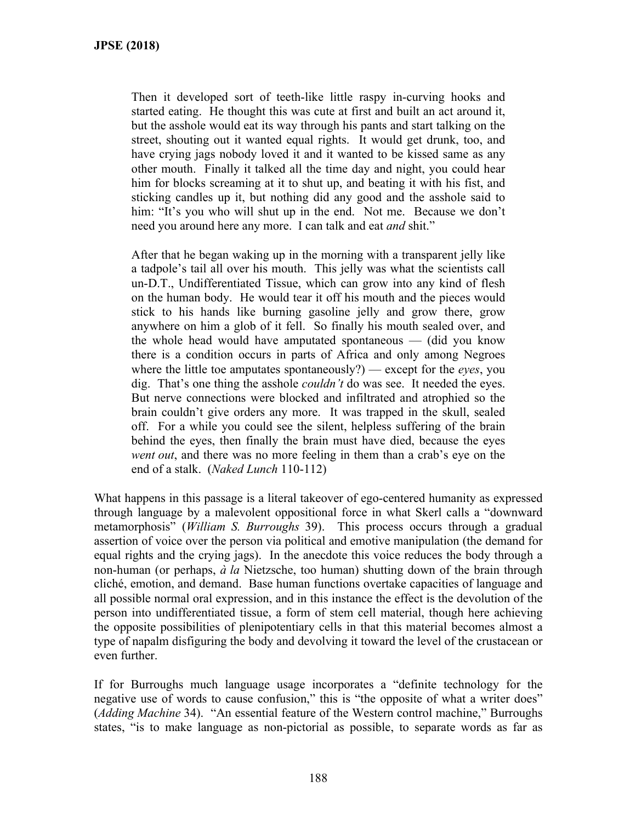Then it developed sort of teeth-like little raspy in-curving hooks and started eating. He thought this was cute at first and built an act around it, but the asshole would eat its way through his pants and start talking on the street, shouting out it wanted equal rights. It would get drunk, too, and have crying jags nobody loved it and it wanted to be kissed same as any other mouth. Finally it talked all the time day and night, you could hear him for blocks screaming at it to shut up, and beating it with his fist, and sticking candles up it, but nothing did any good and the asshole said to him: "It's you who will shut up in the end. Not me. Because we don't need you around here any more. I can talk and eat *and* shit."

After that he began waking up in the morning with a transparent jelly like a tadpole's tail all over his mouth. This jelly was what the scientists call un-D.T., Undifferentiated Tissue, which can grow into any kind of flesh on the human body. He would tear it off his mouth and the pieces would stick to his hands like burning gasoline jelly and grow there, grow anywhere on him a glob of it fell. So finally his mouth sealed over, and the whole head would have amputated spontaneous — (did you know there is a condition occurs in parts of Africa and only among Negroes where the little toe amputates spontaneously?) — except for the *eyes*, you dig. That's one thing the asshole *couldn't* do was see. It needed the eyes. But nerve connections were blocked and infiltrated and atrophied so the brain couldn't give orders any more. It was trapped in the skull, sealed off. For a while you could see the silent, helpless suffering of the brain behind the eyes, then finally the brain must have died, because the eyes *went out*, and there was no more feeling in them than a crab's eye on the end of a stalk. (*Naked Lunch* 110-112)

What happens in this passage is a literal takeover of ego-centered humanity as expressed through language by a malevolent oppositional force in what Skerl calls a "downward metamorphosis" (*William S. Burroughs* 39). This process occurs through a gradual assertion of voice over the person via political and emotive manipulation (the demand for equal rights and the crying jags). In the anecdote this voice reduces the body through a non-human (or perhaps, *à la* Nietzsche, too human) shutting down of the brain through cliché, emotion, and demand. Base human functions overtake capacities of language and all possible normal oral expression, and in this instance the effect is the devolution of the person into undifferentiated tissue, a form of stem cell material, though here achieving the opposite possibilities of plenipotentiary cells in that this material becomes almost a type of napalm disfiguring the body and devolving it toward the level of the crustacean or even further.

If for Burroughs much language usage incorporates a "definite technology for the negative use of words to cause confusion," this is "the opposite of what a writer does" (*Adding Machine* 34). "An essential feature of the Western control machine," Burroughs states, "is to make language as non-pictorial as possible, to separate words as far as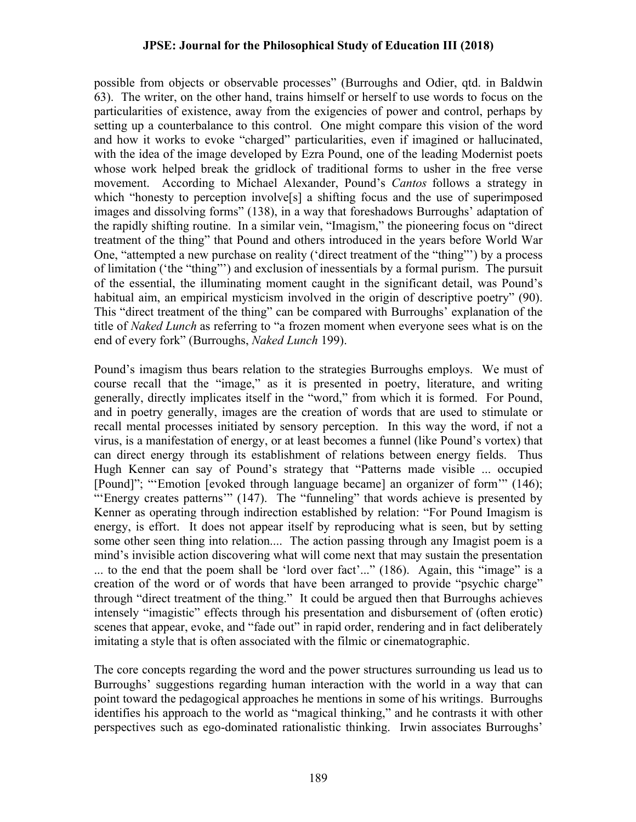possible from objects or observable processes" (Burroughs and Odier, qtd. in Baldwin 63). The writer, on the other hand, trains himself or herself to use words to focus on the particularities of existence, away from the exigencies of power and control, perhaps by setting up a counterbalance to this control. One might compare this vision of the word and how it works to evoke "charged" particularities, even if imagined or hallucinated, with the idea of the image developed by Ezra Pound, one of the leading Modernist poets whose work helped break the gridlock of traditional forms to usher in the free verse movement. According to Michael Alexander, Pound's *Cantos* follows a strategy in which "honesty to perception involve<sup>[5]</sup> a shifting focus and the use of superimposed images and dissolving forms" (138), in a way that foreshadows Burroughs' adaptation of the rapidly shifting routine. In a similar vein, "Imagism," the pioneering focus on "direct treatment of the thing" that Pound and others introduced in the years before World War One, "attempted a new purchase on reality ('direct treatment of the "thing"') by a process of limitation ('the "thing"') and exclusion of inessentials by a formal purism. The pursuit of the essential, the illuminating moment caught in the significant detail, was Pound's habitual aim, an empirical mysticism involved in the origin of descriptive poetry" (90). This "direct treatment of the thing" can be compared with Burroughs' explanation of the title of *Naked Lunch* as referring to "a frozen moment when everyone sees what is on the end of every fork" (Burroughs, *Naked Lunch* 199).

Pound's imagism thus bears relation to the strategies Burroughs employs. We must of course recall that the "image," as it is presented in poetry, literature, and writing generally, directly implicates itself in the "word," from which it is formed. For Pound, and in poetry generally, images are the creation of words that are used to stimulate or recall mental processes initiated by sensory perception. In this way the word, if not a virus, is a manifestation of energy, or at least becomes a funnel (like Pound's vortex) that can direct energy through its establishment of relations between energy fields. Thus Hugh Kenner can say of Pound's strategy that "Patterns made visible ... occupied [Pound]"; "'Emotion [evoked through language became] an organizer of form'" (146); "'Energy creates patterns'" (147). The "funneling" that words achieve is presented by Kenner as operating through indirection established by relation: "For Pound Imagism is energy, is effort. It does not appear itself by reproducing what is seen, but by setting some other seen thing into relation.... The action passing through any Imagist poem is a mind's invisible action discovering what will come next that may sustain the presentation ... to the end that the poem shall be 'lord over fact'..." (186). Again, this "image" is a creation of the word or of words that have been arranged to provide "psychic charge" through "direct treatment of the thing." It could be argued then that Burroughs achieves intensely "imagistic" effects through his presentation and disbursement of (often erotic) scenes that appear, evoke, and "fade out" in rapid order, rendering and in fact deliberately imitating a style that is often associated with the filmic or cinematographic.

The core concepts regarding the word and the power structures surrounding us lead us to Burroughs' suggestions regarding human interaction with the world in a way that can point toward the pedagogical approaches he mentions in some of his writings. Burroughs identifies his approach to the world as "magical thinking," and he contrasts it with other perspectives such as ego-dominated rationalistic thinking. Irwin associates Burroughs'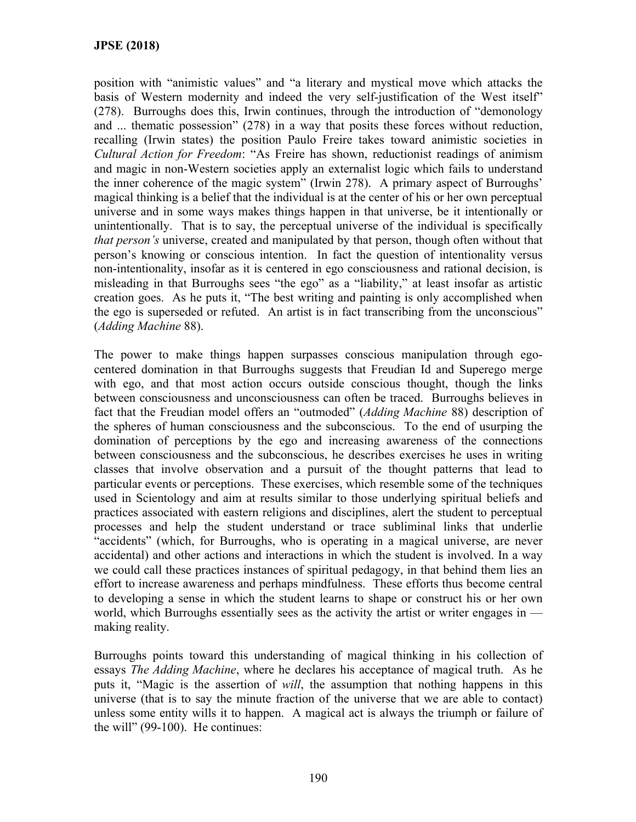position with "animistic values" and "a literary and mystical move which attacks the basis of Western modernity and indeed the very self-justification of the West itself" (278). Burroughs does this, Irwin continues, through the introduction of "demonology and ... thematic possession" (278) in a way that posits these forces without reduction, recalling (Irwin states) the position Paulo Freire takes toward animistic societies in *Cultural Action for Freedom*: "As Freire has shown, reductionist readings of animism and magic in non-Western societies apply an externalist logic which fails to understand the inner coherence of the magic system" (Irwin 278). A primary aspect of Burroughs' magical thinking is a belief that the individual is at the center of his or her own perceptual universe and in some ways makes things happen in that universe, be it intentionally or unintentionally. That is to say, the perceptual universe of the individual is specifically *that person's* universe, created and manipulated by that person, though often without that person's knowing or conscious intention. In fact the question of intentionality versus non-intentionality, insofar as it is centered in ego consciousness and rational decision, is misleading in that Burroughs sees "the ego" as a "liability," at least insofar as artistic creation goes. As he puts it, "The best writing and painting is only accomplished when the ego is superseded or refuted. An artist is in fact transcribing from the unconscious" (*Adding Machine* 88).

The power to make things happen surpasses conscious manipulation through egocentered domination in that Burroughs suggests that Freudian Id and Superego merge with ego, and that most action occurs outside conscious thought, though the links between consciousness and unconsciousness can often be traced. Burroughs believes in fact that the Freudian model offers an "outmoded" (*Adding Machine* 88) description of the spheres of human consciousness and the subconscious. To the end of usurping the domination of perceptions by the ego and increasing awareness of the connections between consciousness and the subconscious, he describes exercises he uses in writing classes that involve observation and a pursuit of the thought patterns that lead to particular events or perceptions. These exercises, which resemble some of the techniques used in Scientology and aim at results similar to those underlying spiritual beliefs and practices associated with eastern religions and disciplines, alert the student to perceptual processes and help the student understand or trace subliminal links that underlie "accidents" (which, for Burroughs, who is operating in a magical universe, are never accidental) and other actions and interactions in which the student is involved. In a way we could call these practices instances of spiritual pedagogy, in that behind them lies an effort to increase awareness and perhaps mindfulness. These efforts thus become central to developing a sense in which the student learns to shape or construct his or her own world, which Burroughs essentially sees as the activity the artist or writer engages in making reality.

Burroughs points toward this understanding of magical thinking in his collection of essays *The Adding Machine*, where he declares his acceptance of magical truth. As he puts it, "Magic is the assertion of *will*, the assumption that nothing happens in this universe (that is to say the minute fraction of the universe that we are able to contact) unless some entity wills it to happen. A magical act is always the triumph or failure of the will" (99-100). He continues: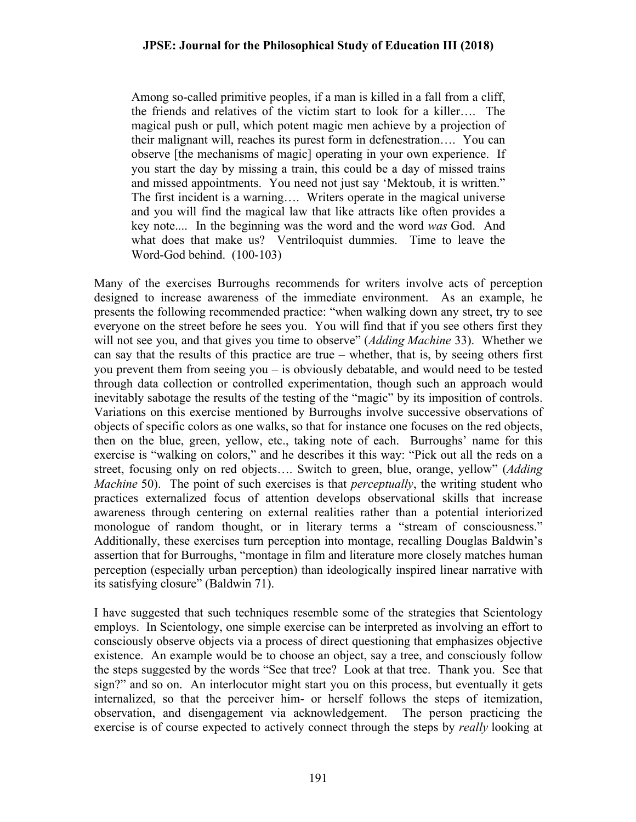Among so-called primitive peoples, if a man is killed in a fall from a cliff, the friends and relatives of the victim start to look for a killer…. The magical push or pull, which potent magic men achieve by a projection of their malignant will, reaches its purest form in defenestration…. You can observe [the mechanisms of magic] operating in your own experience. If you start the day by missing a train, this could be a day of missed trains and missed appointments. You need not just say 'Mektoub, it is written." The first incident is a warning…. Writers operate in the magical universe and you will find the magical law that like attracts like often provides a key note.... In the beginning was the word and the word *was* God. And what does that make us? Ventriloquist dummies. Time to leave the Word-God behind. (100-103)

Many of the exercises Burroughs recommends for writers involve acts of perception designed to increase awareness of the immediate environment. As an example, he presents the following recommended practice: "when walking down any street, try to see everyone on the street before he sees you. You will find that if you see others first they will not see you, and that gives you time to observe" (*Adding Machine* 33). Whether we can say that the results of this practice are true – whether, that is, by seeing others first you prevent them from seeing you – is obviously debatable, and would need to be tested through data collection or controlled experimentation, though such an approach would inevitably sabotage the results of the testing of the "magic" by its imposition of controls. Variations on this exercise mentioned by Burroughs involve successive observations of objects of specific colors as one walks, so that for instance one focuses on the red objects, then on the blue, green, yellow, etc., taking note of each. Burroughs' name for this exercise is "walking on colors," and he describes it this way: "Pick out all the reds on a street, focusing only on red objects…. Switch to green, blue, orange, yellow" (*Adding Machine* 50). The point of such exercises is that *perceptually*, the writing student who practices externalized focus of attention develops observational skills that increase awareness through centering on external realities rather than a potential interiorized monologue of random thought, or in literary terms a "stream of consciousness." Additionally, these exercises turn perception into montage, recalling Douglas Baldwin's assertion that for Burroughs, "montage in film and literature more closely matches human perception (especially urban perception) than ideologically inspired linear narrative with its satisfying closure" (Baldwin 71).

I have suggested that such techniques resemble some of the strategies that Scientology employs. In Scientology, one simple exercise can be interpreted as involving an effort to consciously observe objects via a process of direct questioning that emphasizes objective existence. An example would be to choose an object, say a tree, and consciously follow the steps suggested by the words "See that tree? Look at that tree. Thank you. See that sign?" and so on. An interlocutor might start you on this process, but eventually it gets internalized, so that the perceiver him- or herself follows the steps of itemization, observation, and disengagement via acknowledgement. The person practicing the exercise is of course expected to actively connect through the steps by *really* looking at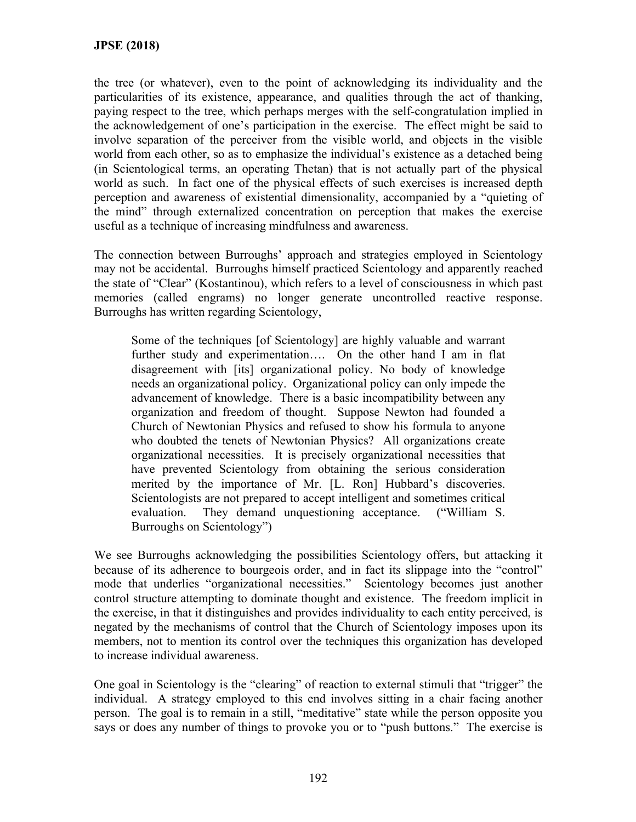the tree (or whatever), even to the point of acknowledging its individuality and the particularities of its existence, appearance, and qualities through the act of thanking, paying respect to the tree, which perhaps merges with the self-congratulation implied in the acknowledgement of one's participation in the exercise. The effect might be said to involve separation of the perceiver from the visible world, and objects in the visible world from each other, so as to emphasize the individual's existence as a detached being (in Scientological terms, an operating Thetan) that is not actually part of the physical world as such. In fact one of the physical effects of such exercises is increased depth perception and awareness of existential dimensionality, accompanied by a "quieting of the mind" through externalized concentration on perception that makes the exercise useful as a technique of increasing mindfulness and awareness.

The connection between Burroughs' approach and strategies employed in Scientology may not be accidental. Burroughs himself practiced Scientology and apparently reached the state of "Clear" (Kostantinou), which refers to a level of consciousness in which past memories (called engrams) no longer generate uncontrolled reactive response. Burroughs has written regarding Scientology,

Some of the techniques [of Scientology] are highly valuable and warrant further study and experimentation…. On the other hand I am in flat disagreement with [its] organizational policy. No body of knowledge needs an organizational policy. Organizational policy can only impede the advancement of knowledge. There is a basic incompatibility between any organization and freedom of thought. Suppose Newton had founded a Church of Newtonian Physics and refused to show his formula to anyone who doubted the tenets of Newtonian Physics? All organizations create organizational necessities. It is precisely organizational necessities that have prevented Scientology from obtaining the serious consideration merited by the importance of Mr. [L. Ron] Hubbard's discoveries. Scientologists are not prepared to accept intelligent and sometimes critical evaluation. They demand unquestioning acceptance. ("William S. Burroughs on Scientology")

We see Burroughs acknowledging the possibilities Scientology offers, but attacking it because of its adherence to bourgeois order, and in fact its slippage into the "control" mode that underlies "organizational necessities." Scientology becomes just another control structure attempting to dominate thought and existence. The freedom implicit in the exercise, in that it distinguishes and provides individuality to each entity perceived, is negated by the mechanisms of control that the Church of Scientology imposes upon its members, not to mention its control over the techniques this organization has developed to increase individual awareness.

One goal in Scientology is the "clearing" of reaction to external stimuli that "trigger" the individual. A strategy employed to this end involves sitting in a chair facing another person. The goal is to remain in a still, "meditative" state while the person opposite you says or does any number of things to provoke you or to "push buttons." The exercise is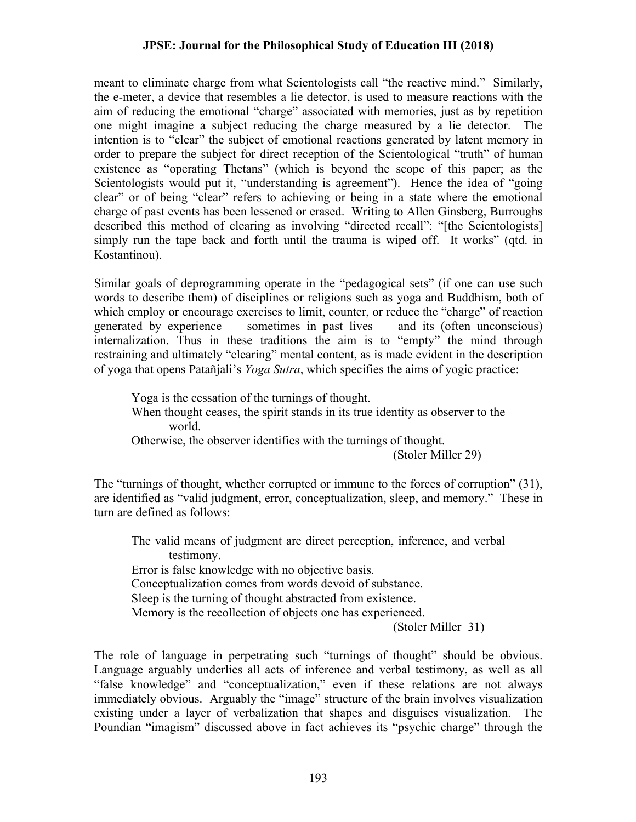meant to eliminate charge from what Scientologists call "the reactive mind." Similarly, the e-meter, a device that resembles a lie detector, is used to measure reactions with the aim of reducing the emotional "charge" associated with memories, just as by repetition one might imagine a subject reducing the charge measured by a lie detector. The intention is to "clear" the subject of emotional reactions generated by latent memory in order to prepare the subject for direct reception of the Scientological "truth" of human existence as "operating Thetans" (which is beyond the scope of this paper; as the Scientologists would put it, "understanding is agreement"). Hence the idea of "going clear" or of being "clear" refers to achieving or being in a state where the emotional charge of past events has been lessened or erased. Writing to Allen Ginsberg, Burroughs described this method of clearing as involving "directed recall": "[the Scientologists] simply run the tape back and forth until the trauma is wiped off. It works" (qtd. in Kostantinou).

Similar goals of deprogramming operate in the "pedagogical sets" (if one can use such words to describe them) of disciplines or religions such as yoga and Buddhism, both of which employ or encourage exercises to limit, counter, or reduce the "charge" of reaction generated by experience — sometimes in past lives — and its (often unconscious) internalization. Thus in these traditions the aim is to "empty" the mind through restraining and ultimately "clearing" mental content, as is made evident in the description of yoga that opens Patañjali's *Yoga Sutra*, which specifies the aims of yogic practice:

Yoga is the cessation of the turnings of thought. When thought ceases, the spirit stands in its true identity as observer to the world.

Otherwise, the observer identifies with the turnings of thought.

(Stoler Miller 29)

The "turnings of thought, whether corrupted or immune to the forces of corruption" (31), are identified as "valid judgment, error, conceptualization, sleep, and memory." These in turn are defined as follows:

The valid means of judgment are direct perception, inference, and verbal testimony. Error is false knowledge with no objective basis. Conceptualization comes from words devoid of substance. Sleep is the turning of thought abstracted from existence. Memory is the recollection of objects one has experienced. (Stoler Miller 31)

The role of language in perpetrating such "turnings of thought" should be obvious. Language arguably underlies all acts of inference and verbal testimony, as well as all "false knowledge" and "conceptualization," even if these relations are not always immediately obvious. Arguably the "image" structure of the brain involves visualization existing under a layer of verbalization that shapes and disguises visualization. The Poundian "imagism" discussed above in fact achieves its "psychic charge" through the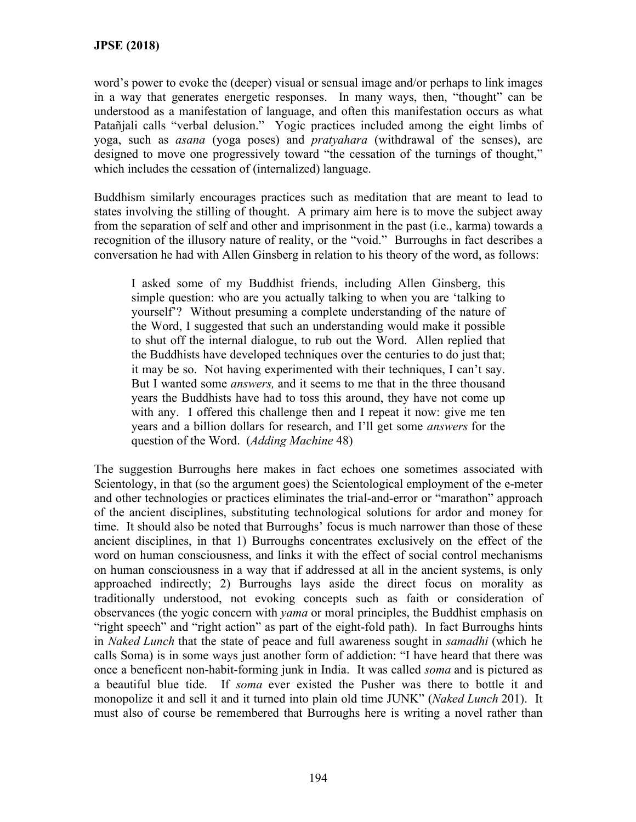word's power to evoke the (deeper) visual or sensual image and/or perhaps to link images in a way that generates energetic responses. In many ways, then, "thought" can be understood as a manifestation of language, and often this manifestation occurs as what Patañjali calls "verbal delusion." Yogic practices included among the eight limbs of yoga, such as *asana* (yoga poses) and *pratyahara* (withdrawal of the senses), are designed to move one progressively toward "the cessation of the turnings of thought," which includes the cessation of (internalized) language.

Buddhism similarly encourages practices such as meditation that are meant to lead to states involving the stilling of thought. A primary aim here is to move the subject away from the separation of self and other and imprisonment in the past (i.e., karma) towards a recognition of the illusory nature of reality, or the "void." Burroughs in fact describes a conversation he had with Allen Ginsberg in relation to his theory of the word, as follows:

I asked some of my Buddhist friends, including Allen Ginsberg, this simple question: who are you actually talking to when you are 'talking to yourself'? Without presuming a complete understanding of the nature of the Word, I suggested that such an understanding would make it possible to shut off the internal dialogue, to rub out the Word. Allen replied that the Buddhists have developed techniques over the centuries to do just that; it may be so. Not having experimented with their techniques, I can't say. But I wanted some *answers,* and it seems to me that in the three thousand years the Buddhists have had to toss this around, they have not come up with any. I offered this challenge then and I repeat it now: give me ten years and a billion dollars for research, and I'll get some *answers* for the question of the Word. (*Adding Machine* 48)

The suggestion Burroughs here makes in fact echoes one sometimes associated with Scientology, in that (so the argument goes) the Scientological employment of the e-meter and other technologies or practices eliminates the trial-and-error or "marathon" approach of the ancient disciplines, substituting technological solutions for ardor and money for time. It should also be noted that Burroughs' focus is much narrower than those of these ancient disciplines, in that 1) Burroughs concentrates exclusively on the effect of the word on human consciousness, and links it with the effect of social control mechanisms on human consciousness in a way that if addressed at all in the ancient systems, is only approached indirectly; 2) Burroughs lays aside the direct focus on morality as traditionally understood, not evoking concepts such as faith or consideration of observances (the yogic concern with *yama* or moral principles, the Buddhist emphasis on "right speech" and "right action" as part of the eight-fold path). In fact Burroughs hints in *Naked Lunch* that the state of peace and full awareness sought in *samadhi* (which he calls Soma) is in some ways just another form of addiction: "I have heard that there was once a beneficent non-habit-forming junk in India. It was called *soma* and is pictured as a beautiful blue tide. If *soma* ever existed the Pusher was there to bottle it and monopolize it and sell it and it turned into plain old time JUNK" (*Naked Lunch* 201). It must also of course be remembered that Burroughs here is writing a novel rather than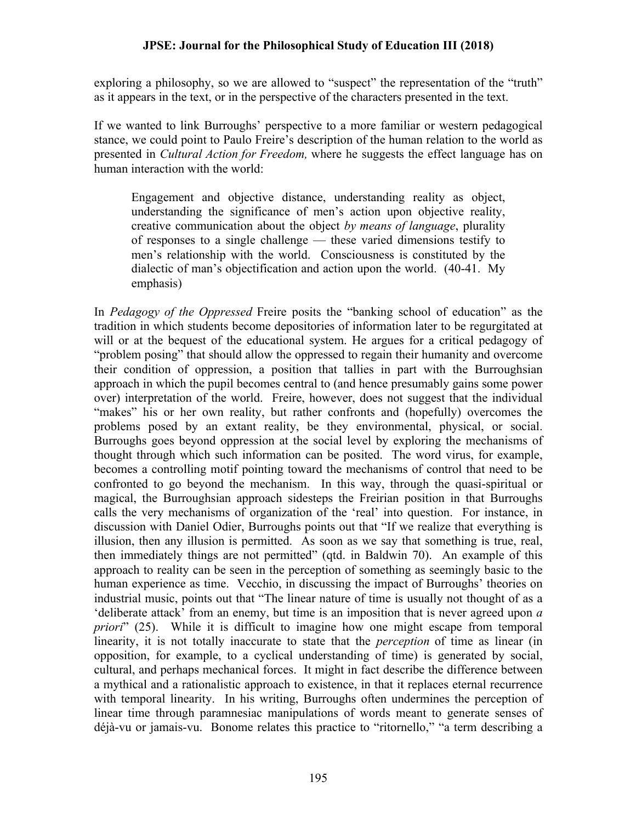exploring a philosophy, so we are allowed to "suspect" the representation of the "truth" as it appears in the text, or in the perspective of the characters presented in the text.

If we wanted to link Burroughs' perspective to a more familiar or western pedagogical stance, we could point to Paulo Freire's description of the human relation to the world as presented in *Cultural Action for Freedom,* where he suggests the effect language has on human interaction with the world:

Engagement and objective distance, understanding reality as object, understanding the significance of men's action upon objective reality, creative communication about the object *by means of language*, plurality of responses to a single challenge — these varied dimensions testify to men's relationship with the world. Consciousness is constituted by the dialectic of man's objectification and action upon the world. (40-41. My emphasis)

In *Pedagogy of the Oppressed* Freire posits the "banking school of education" as the tradition in which students become depositories of information later to be regurgitated at will or at the bequest of the educational system. He argues for a critical pedagogy of "problem posing" that should allow the oppressed to regain their humanity and overcome their condition of oppression, a position that tallies in part with the Burroughsian approach in which the pupil becomes central to (and hence presumably gains some power over) interpretation of the world. Freire, however, does not suggest that the individual "makes" his or her own reality, but rather confronts and (hopefully) overcomes the problems posed by an extant reality, be they environmental, physical, or social. Burroughs goes beyond oppression at the social level by exploring the mechanisms of thought through which such information can be posited. The word virus, for example, becomes a controlling motif pointing toward the mechanisms of control that need to be confronted to go beyond the mechanism. In this way, through the quasi-spiritual or magical, the Burroughsian approach sidesteps the Freirian position in that Burroughs calls the very mechanisms of organization of the 'real' into question. For instance, in discussion with Daniel Odier, Burroughs points out that "If we realize that everything is illusion, then any illusion is permitted. As soon as we say that something is true, real, then immediately things are not permitted" (qtd. in Baldwin 70). An example of this approach to reality can be seen in the perception of something as seemingly basic to the human experience as time. Vecchio, in discussing the impact of Burroughs' theories on industrial music, points out that "The linear nature of time is usually not thought of as a 'deliberate attack' from an enemy, but time is an imposition that is never agreed upon *a priori*" (25). While it is difficult to imagine how one might escape from temporal linearity, it is not totally inaccurate to state that the *perception* of time as linear (in opposition, for example, to a cyclical understanding of time) is generated by social, cultural, and perhaps mechanical forces. It might in fact describe the difference between a mythical and a rationalistic approach to existence, in that it replaces eternal recurrence with temporal linearity. In his writing, Burroughs often undermines the perception of linear time through paramnesiac manipulations of words meant to generate senses of déjà-vu or jamais-vu. Bonome relates this practice to "ritornello," "a term describing a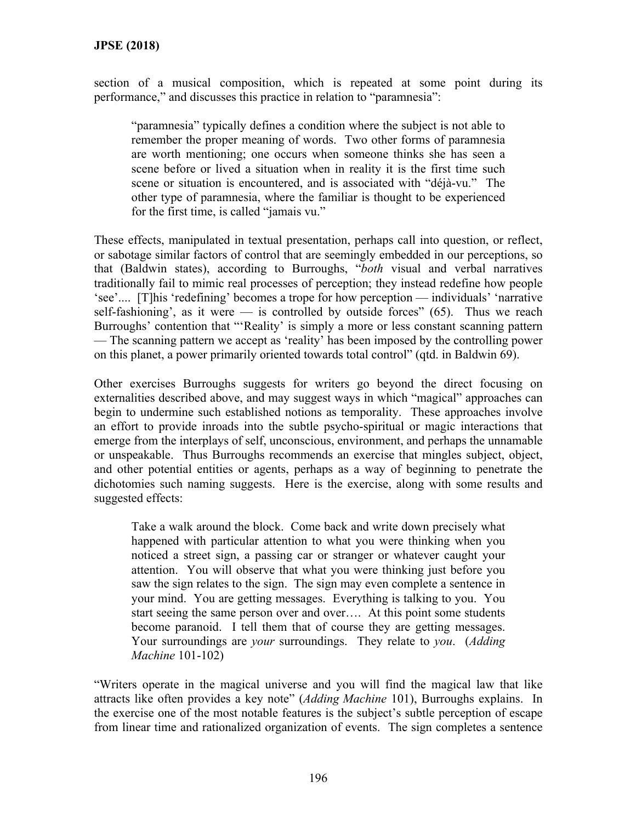section of a musical composition, which is repeated at some point during its performance," and discusses this practice in relation to "paramnesia":

"paramnesia" typically defines a condition where the subject is not able to remember the proper meaning of words. Two other forms of paramnesia are worth mentioning; one occurs when someone thinks she has seen a scene before or lived a situation when in reality it is the first time such scene or situation is encountered, and is associated with "déjà-vu." The other type of paramnesia, where the familiar is thought to be experienced for the first time, is called "jamais vu."

These effects, manipulated in textual presentation, perhaps call into question, or reflect, or sabotage similar factors of control that are seemingly embedded in our perceptions, so that (Baldwin states), according to Burroughs, "*both* visual and verbal narratives traditionally fail to mimic real processes of perception; they instead redefine how people 'see'.... [T]his 'redefining' becomes a trope for how perception — individuals' 'narrative self-fashioning', as it were — is controlled by outside forces"  $(65)$ . Thus we reach Burroughs' contention that "'Reality' is simply a more or less constant scanning pattern — The scanning pattern we accept as 'reality' has been imposed by the controlling power on this planet, a power primarily oriented towards total control" (qtd. in Baldwin 69).

Other exercises Burroughs suggests for writers go beyond the direct focusing on externalities described above, and may suggest ways in which "magical" approaches can begin to undermine such established notions as temporality. These approaches involve an effort to provide inroads into the subtle psycho-spiritual or magic interactions that emerge from the interplays of self, unconscious, environment, and perhaps the unnamable or unspeakable. Thus Burroughs recommends an exercise that mingles subject, object, and other potential entities or agents, perhaps as a way of beginning to penetrate the dichotomies such naming suggests. Here is the exercise, along with some results and suggested effects:

Take a walk around the block. Come back and write down precisely what happened with particular attention to what you were thinking when you noticed a street sign, a passing car or stranger or whatever caught your attention. You will observe that what you were thinking just before you saw the sign relates to the sign. The sign may even complete a sentence in your mind. You are getting messages. Everything is talking to you. You start seeing the same person over and over…. At this point some students become paranoid. I tell them that of course they are getting messages. Your surroundings are *your* surroundings. They relate to *you*. (*Adding Machine* 101-102)

"Writers operate in the magical universe and you will find the magical law that like attracts like often provides a key note" (*Adding Machine* 101), Burroughs explains. In the exercise one of the most notable features is the subject's subtle perception of escape from linear time and rationalized organization of events. The sign completes a sentence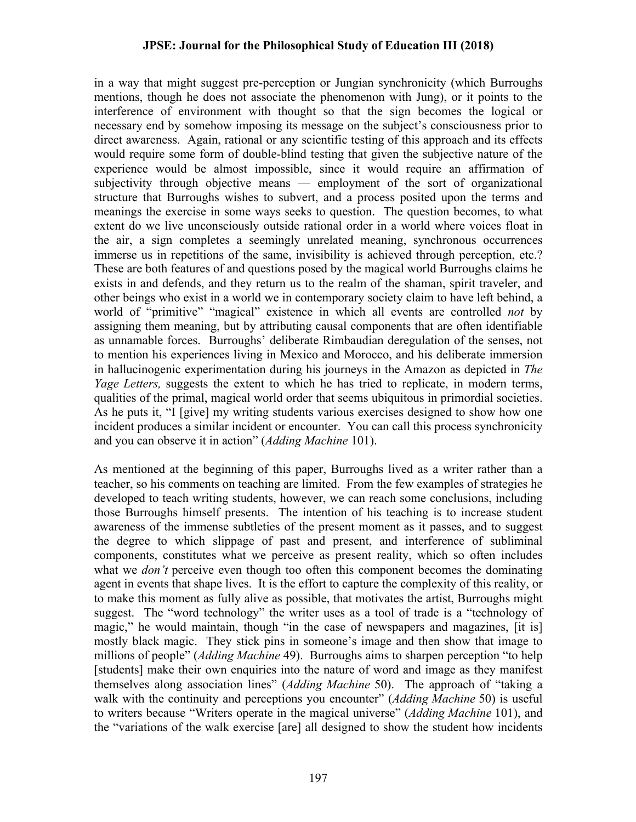in a way that might suggest pre-perception or Jungian synchronicity (which Burroughs mentions, though he does not associate the phenomenon with Jung), or it points to the interference of environment with thought so that the sign becomes the logical or necessary end by somehow imposing its message on the subject's consciousness prior to direct awareness. Again, rational or any scientific testing of this approach and its effects would require some form of double-blind testing that given the subjective nature of the experience would be almost impossible, since it would require an affirmation of subjectivity through objective means — employment of the sort of organizational structure that Burroughs wishes to subvert, and a process posited upon the terms and meanings the exercise in some ways seeks to question. The question becomes, to what extent do we live unconsciously outside rational order in a world where voices float in the air, a sign completes a seemingly unrelated meaning, synchronous occurrences immerse us in repetitions of the same, invisibility is achieved through perception, etc.? These are both features of and questions posed by the magical world Burroughs claims he exists in and defends, and they return us to the realm of the shaman, spirit traveler, and other beings who exist in a world we in contemporary society claim to have left behind, a world of "primitive" "magical" existence in which all events are controlled *not* by assigning them meaning, but by attributing causal components that are often identifiable as unnamable forces. Burroughs' deliberate Rimbaudian deregulation of the senses, not to mention his experiences living in Mexico and Morocco, and his deliberate immersion in hallucinogenic experimentation during his journeys in the Amazon as depicted in *The Yage Letters*, suggests the extent to which he has tried to replicate, in modern terms, qualities of the primal, magical world order that seems ubiquitous in primordial societies. As he puts it, "I [give] my writing students various exercises designed to show how one incident produces a similar incident or encounter. You can call this process synchronicity and you can observe it in action" (*Adding Machine* 101).

As mentioned at the beginning of this paper, Burroughs lived as a writer rather than a teacher, so his comments on teaching are limited. From the few examples of strategies he developed to teach writing students, however, we can reach some conclusions, including those Burroughs himself presents. The intention of his teaching is to increase student awareness of the immense subtleties of the present moment as it passes, and to suggest the degree to which slippage of past and present, and interference of subliminal components, constitutes what we perceive as present reality, which so often includes what we *don't* perceive even though too often this component becomes the dominating agent in events that shape lives. It is the effort to capture the complexity of this reality, or to make this moment as fully alive as possible, that motivates the artist, Burroughs might suggest. The "word technology" the writer uses as a tool of trade is a "technology of magic," he would maintain, though "in the case of newspapers and magazines, [it is] mostly black magic. They stick pins in someone's image and then show that image to millions of people" (*Adding Machine* 49). Burroughs aims to sharpen perception "to help [students] make their own enquiries into the nature of word and image as they manifest themselves along association lines" (*Adding Machine* 50). The approach of "taking a walk with the continuity and perceptions you encounter" (*Adding Machine* 50) is useful to writers because "Writers operate in the magical universe" (*Adding Machine* 101), and the "variations of the walk exercise [are] all designed to show the student how incidents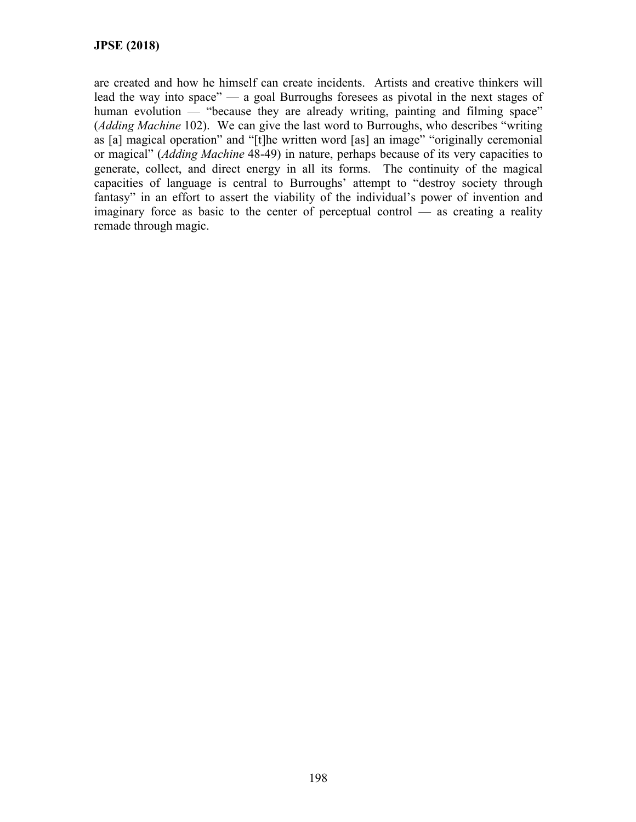are created and how he himself can create incidents. Artists and creative thinkers will lead the way into space" — a goal Burroughs foresees as pivotal in the next stages of human evolution — "because they are already writing, painting and filming space" (*Adding Machine* 102). We can give the last word to Burroughs, who describes "writing as [a] magical operation" and "[t]he written word [as] an image" "originally ceremonial or magical" (*Adding Machine* 48-49) in nature, perhaps because of its very capacities to generate, collect, and direct energy in all its forms. The continuity of the magical capacities of language is central to Burroughs' attempt to "destroy society through fantasy" in an effort to assert the viability of the individual's power of invention and imaginary force as basic to the center of perceptual control — as creating a reality remade through magic.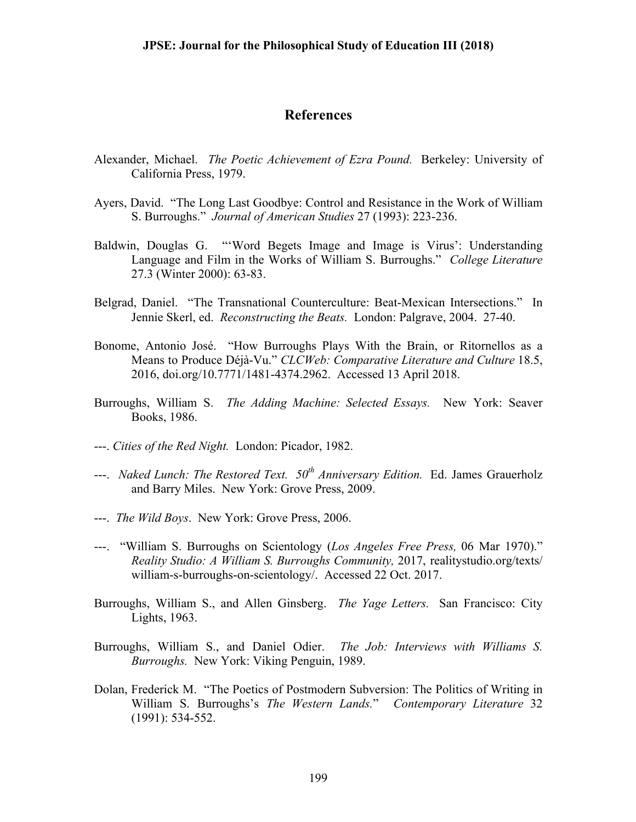### **References**

- Alexander, Michael. *The Poetic Achievement of Ezra Pound.* Berkeley: University of California Press, 1979.
- Ayers, David. "The Long Last Goodbye: Control and Resistance in the Work of William S. Burroughs." *Journal of American Studies* 27 (1993): 223-236.
- Baldwin, Douglas G. "'Word Begets Image and Image is Virus': Understanding Language and Film in the Works of William S. Burroughs." *College Literature*  27.3 (Winter 2000): 63-83.
- Belgrad, Daniel. "The Transnational Counterculture: Beat-Mexican Intersections." In Jennie Skerl, ed. *Reconstructing the Beats.* London: Palgrave, 2004. 27-40.
- Bonome, Antonio José. "How Burroughs Plays With the Brain, or Ritornellos as a Means to Produce Déjà-Vu." *CLCWeb: Comparative Literature and Culture* 18.5, 2016, doi.org/10.7771/1481-4374.2962. Accessed 13 April 2018.
- Burroughs, William S. *The Adding Machine: Selected Essays.* New York: Seaver Books, 1986.
- ---. *Cities of the Red Night.* London: Picador, 1982.
- ---. *Naked Lunch: The Restored Text. 50th Anniversary Edition.* Ed. James Grauerholz and Barry Miles. New York: Grove Press, 2009.
- ---. *The Wild Boys*. New York: Grove Press, 2006.
- ---. "William S. Burroughs on Scientology (*Los Angeles Free Press,* 06 Mar 1970)." *Reality Studio: A William S. Burroughs Community,* 2017, realitystudio.org/texts/ william-s-burroughs-on-scientology/. Accessed 22 Oct. 2017.
- Burroughs, William S., and Allen Ginsberg. *The Yage Letters.* San Francisco: City Lights, 1963.
- Burroughs, William S., and Daniel Odier. *The Job: Interviews with Williams S. Burroughs.* New York: Viking Penguin, 1989.
- Dolan, Frederick M. "The Poetics of Postmodern Subversion: The Politics of Writing in William S. Burroughs's *The Western Lands.*" *Contemporary Literature* 32 (1991): 534-552.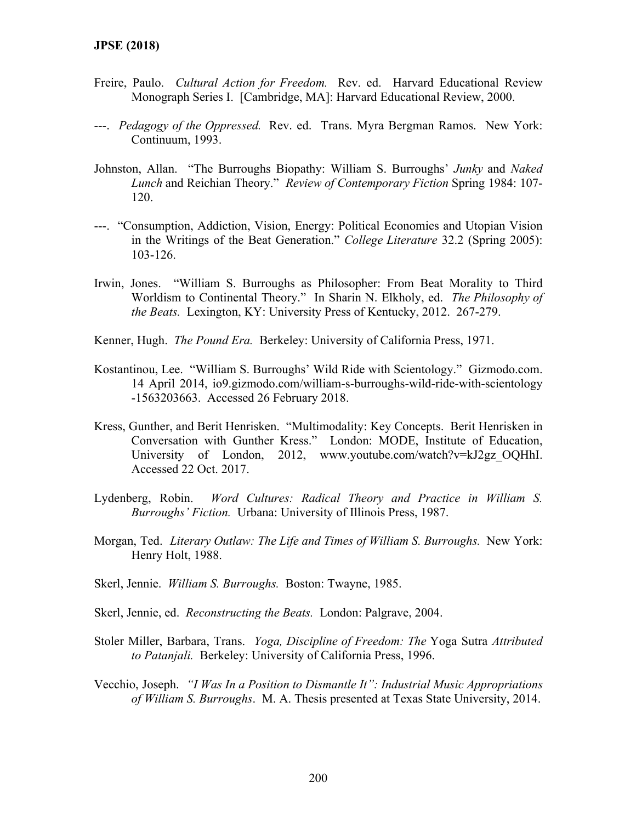- Freire, Paulo. *Cultural Action for Freedom.* Rev. ed. Harvard Educational Review Monograph Series I. [Cambridge, MA]: Harvard Educational Review, 2000.
- ---. *Pedagogy of the Oppressed.* Rev. ed. Trans. Myra Bergman Ramos. New York: Continuum, 1993.
- Johnston, Allan. "The Burroughs Biopathy: William S. Burroughs' *Junky* and *Naked Lunch* and Reichian Theory." *Review of Contemporary Fiction* Spring 1984: 107- 120.
- ---. "Consumption, Addiction, Vision, Energy: Political Economies and Utopian Vision in the Writings of the Beat Generation." *College Literature* 32.2 (Spring 2005): 103-126.
- Irwin, Jones. "William S. Burroughs as Philosopher: From Beat Morality to Third Worldism to Continental Theory." In Sharin N. Elkholy, ed. *The Philosophy of the Beats.* Lexington, KY: University Press of Kentucky, 2012. 267-279.
- Kenner, Hugh. *The Pound Era.* Berkeley: University of California Press, 1971.
- Kostantinou, Lee. "William S. Burroughs' Wild Ride with Scientology." Gizmodo.com. 14 April 2014, io9.gizmodo.com/william-s-burroughs-wild-ride-with-scientology -1563203663. Accessed 26 February 2018.
- Kress, Gunther, and Berit Henrisken. "Multimodality: Key Concepts. Berit Henrisken in Conversation with Gunther Kress." London: MODE, Institute of Education, University of London, 2012, www.youtube.com/watch?v=kJ2gz\_OQHhI. Accessed 22 Oct. 2017.
- Lydenberg, Robin. *Word Cultures: Radical Theory and Practice in William S. Burroughs' Fiction.* Urbana: University of Illinois Press, 1987.
- Morgan, Ted. *Literary Outlaw: The Life and Times of William S. Burroughs.* New York: Henry Holt, 1988.
- Skerl, Jennie. *William S. Burroughs.* Boston: Twayne, 1985.
- Skerl, Jennie, ed. *Reconstructing the Beats.* London: Palgrave, 2004.
- Stoler Miller, Barbara, Trans. *Yoga, Discipline of Freedom: The* Yoga Sutra *Attributed to Patanjali.* Berkeley: University of California Press, 1996.
- Vecchio, Joseph. *"I Was In a Position to Dismantle It": Industrial Music Appropriations of William S. Burroughs*. M. A. Thesis presented at Texas State University, 2014.